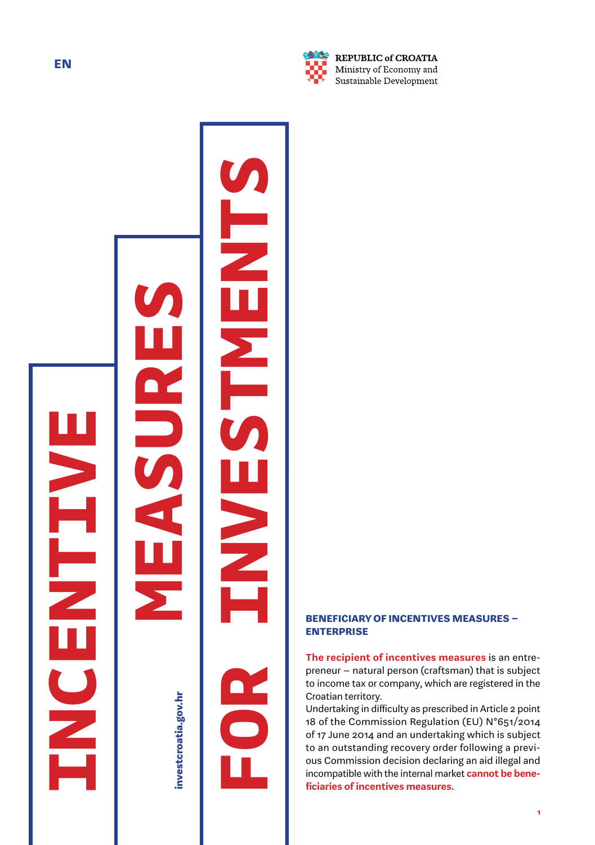



investcroatia.gov.hr

**FOR INVESTMENTS**



REPUBLIC of CROATIA Ministry of Economy and Sustainable Development

# BENEFICIARY OF INCENTIVES MEASURES – ENTERPRISE

The recipient of incentives measures is an entrepreneur – natural person (craftsman) that is subject to income tax or company, which are registered in the Croatian territory.

Undertaking in difficulty as prescribed in Article 2 point 18 of the Commission Regulation (EU) N°651/2014 of 17 June 2014 and an undertaking which is subject to an outstanding recovery order following a previ ous Commission decision declaring an aid illegal and incompatible with the internal market **cannot be bene**ficiaries of incentives measures.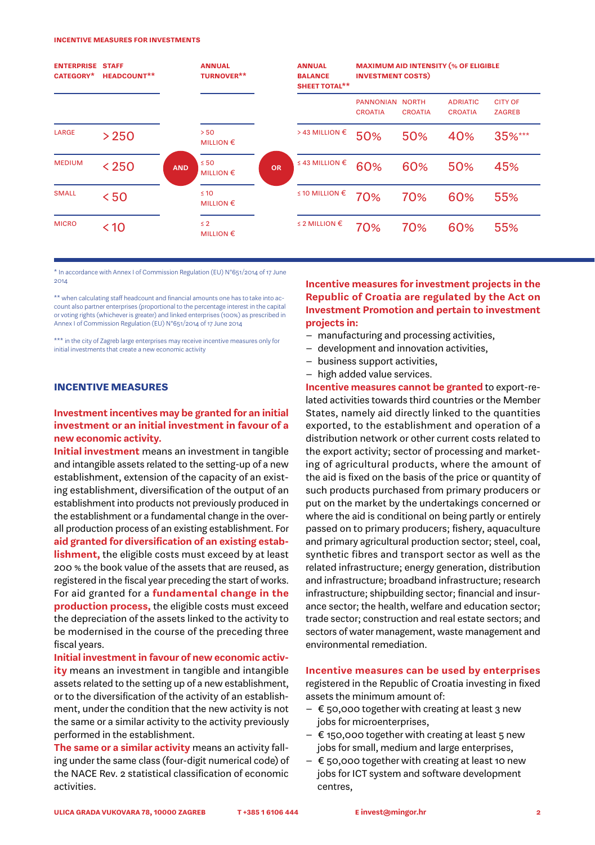#### incentive measures for investments

| <b>ENTERPRISE STAFF</b><br>CATEGORY*<br><b>HEADCOUNT**</b> |        |            | <b>ANNUAL</b><br><b>TURNOVER**</b> |           | <b>ANNUAL</b><br><b>BALANCE</b><br><b>SHEET TOTAL**</b> | <b>MAXIMUM AID INTENSITY (% OF ELIGIBLE</b><br><b>INVESTMENT COSTS)</b> |                                |                                   |                                 |
|------------------------------------------------------------|--------|------------|------------------------------------|-----------|---------------------------------------------------------|-------------------------------------------------------------------------|--------------------------------|-----------------------------------|---------------------------------|
|                                                            |        |            |                                    |           |                                                         | <b>PANNONIAN</b><br><b>CROATIA</b>                                      | <b>NORTH</b><br><b>CROATIA</b> | <b>ADRIATIC</b><br><b>CROATIA</b> | <b>CITY OF</b><br><b>ZAGREB</b> |
| LARGE                                                      | > 250  |            | > 50<br><b>MILLION €</b>           |           | >43 MILLION €                                           | 50%                                                                     | 50%                            | 40%                               | 35%***                          |
| <b>MEDIUM</b>                                              | $<250$ | <b>AND</b> | $\leq 50$<br><b>MILLION €</b>      | <b>OR</b> | ≤ 43 MILLION $€$                                        | 60%                                                                     | 60%                            | 50%                               | 45%                             |
| <b>SMALL</b>                                               | < 50   |            | $\leq 10$<br>MILLION $\epsilon$    |           | ≤ 10 MILLION $€$                                        | 70%                                                                     | 70%                            | 60%                               | 55%                             |
| <b>MICRO</b>                                               | < 10   |            | $\leq 2$<br>MILLION $\epsilon$     |           | ≤ 2 MILLION $€$                                         | 70%                                                                     | 70%                            | 60%                               | 55%                             |

\* In accordance with Annex I of Commission Regulation (EU) N°651/2014 of 17 June 2014

\*\* when calculating staff headcount and financial amounts one has to take into account also partner enterprises (proportional to the percentage interest in the capital or voting rights (whichever is greater) and linked enterprises (100%) as prescribed in Annex I of Commission Regulation (EU) N°651/2014 of 17 June 2014

\*\*\* in the city of Zagreb large enterprises may receive incentive measures only for initial investments that create a new economic activity

#### INCENTIVE MEASURES

### Investment incentives may be granted for an initial investment or an initial investment in favour of a new economic activity.

Initial investment means an investment in tangible and intangible assets related to the setting-up of a new establishment, extension of the capacity of an existing establishment, diversification of the output of an establishment into products not previously produced in the establishment or a fundamental change in the overall production process of an existing establishment. For aid granted for diversification of an existing estab**lishment**, the eligible costs must exceed by at least 200 % the book value of the assets that are reused, as registered in the fiscal year preceding the start of works. For aid granted for a fundamental change in the production process, the eligible costs must exceed the depreciation of the assets linked to the activity to be modernised in the course of the preceding three fiscal years.

Initial investment in favour of new economic activity means an investment in tangible and intangible assets related to the setting up of a new establishment, or to the diversification of the activity of an establishment, under the condition that the new activity is not the same or a similar activity to the activity previously performed in the establishment.

The same or a similar activity means an activity falling under the same class (four-digit numerical code) of the NACE Rev. 2 statistical classification of economic activities.

### Incentive measures for investment projects in the Republic of Croatia are regulated by the Act on Investment Promotion and pertain to investment projects in:

- manufacturing and processing activities,
- development and innovation activities,
- business support activities,
- high added value services.

Incentive measures cannot be granted to export-related activities towards third countries or the Member States, namely aid directly linked to the quantities exported, to the establishment and operation of a distribution network or other current costs related to the export activity; sector of processing and marketing of agricultural products, where the amount of the aid is fixed on the basis of the price or quantity of such products purchased from primary producers or put on the market by the undertakings concerned or where the aid is conditional on being partly or entirely passed on to primary producers; fishery, aquaculture and primary agricultural production sector; steel, coal, synthetic fibres and transport sector as well as the related infrastructure; energy generation, distribution and infrastructure; broadband infrastructure; research infrastructure; shipbuilding sector; financial and insurance sector; the health, welfare and education sector; trade sector; construction and real estate sectors; and sectors of water management, waste management and environmental remediation.

#### Incentive measures can be used by enterprises

registered in the Republic of Croatia investing in fixed assets the minimum amount of:

- $\epsilon$  50,000 together with creating at least 3 new jobs for microenterprises,
- $\epsilon$  150,000 together with creating at least 5 new jobs for small, medium and large enterprises,
- $\epsilon$  50,000 together with creating at least 10 new jobs for ICT system and software development centres,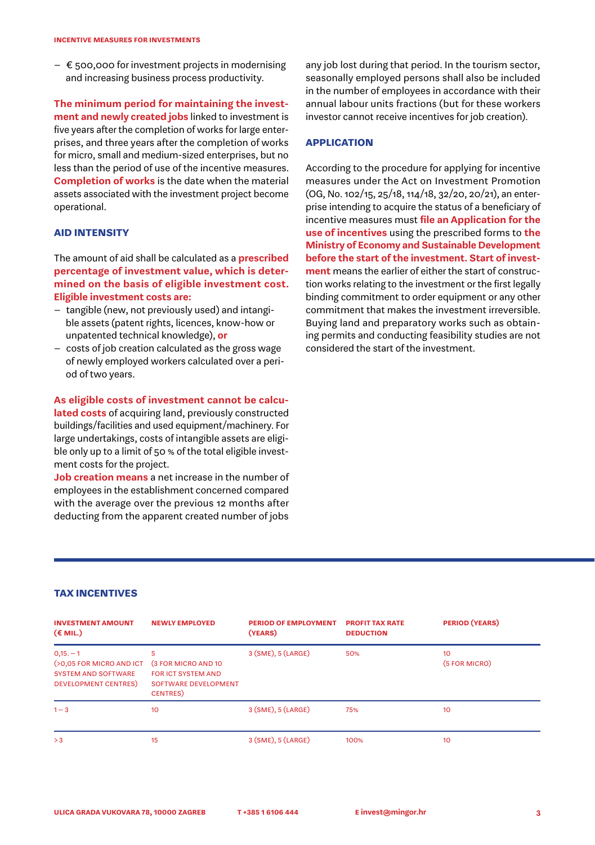$\epsilon$  500,000 for investment projects in modernising and increasing business process productivity.

The minimum period for maintaining the investment and newly created jobs linked to investment is five years after the completion of works for large enterprises, and three years after the completion of works for micro, small and medium-sized enterprises, but no less than the period of use of the incentive measures. Completion of works is the date when the material assets associated with the investment project become operational.

#### AID INTENSITY

The amount of aid shall be calculated as a **prescribed** percentage of investment value, which is determined on the basis of eligible investment cost. Eligible investment costs are:

- tangible (new, not previously used) and intangible assets (patent rights, licences, know-how or unpatented technical knowledge), or
- costs of job creation calculated as the gross wage of newly employed workers calculated over a period of two years.

#### As eligible costs of investment cannot be calcu-

lated costs of acquiring land, previously constructed buildings/facilities and used equipment/machinery. For large undertakings, costs of intangible assets are eligible only up to a limit of 50 % of the total eligible investment costs for the project.

Job creation means a net increase in the number of employees in the establishment concerned compared with the average over the previous 12 months after deducting from the apparent created number of jobs

any job lost during that period. In the tourism sector, seasonally employed persons shall also be included in the number of employees in accordance with their annual labour units fractions (but for these workers investor cannot receive incentives for job creation).

## APPLICATION

According to the procedure for applying for incentive measures under the Act on Investment Promotion (OG, No. 102/15, 25/18, 114/18, 32/20, 20/21), an enterprise intending to acquire the status of a beneficiary of incentive measures must file an Application for the use of incentives using the prescribed forms to the Ministry of Economy and Sustainable Development before the start of the investment. Start of investment means the earlier of either the start of construction works relating to the investment or the first legally binding commitment to order equipment or any other commitment that makes the investment irreversible. Buying land and preparatory works such as obtaining permits and conducting feasibility studies are not considered the start of the investment.

#### TAX INCENTIVES

| <b>INVESTMENT AMOUNT</b><br>$(\epsilon$ MIL.)                                                      | <b>NEWLY EMPLOYED</b>                                                                                     | <b>PERIOD OF EMPLOYMENT</b><br>(YEARS) | <b>PROFIT TAX RATE</b><br><b>DEDUCTION</b> | <b>PERIOD (YEARS)</b> |
|----------------------------------------------------------------------------------------------------|-----------------------------------------------------------------------------------------------------------|----------------------------------------|--------------------------------------------|-----------------------|
| $0,15,-1$<br>(>0,05 FOR MICRO AND ICT<br><b>SYSTEM AND SOFTWARE</b><br><b>DEVELOPMENT CENTRES)</b> | 5<br><b>(3 FOR MICRO AND 10)</b><br>FOR ICT SYSTEM AND<br><b>SOFTWARE DEVELOPMENT</b><br><b>CENTRES</b> ) | $3$ (SME), $5$ (LARGE)                 | 50%                                        | 10<br>(5 FOR MICRO)   |
| $1 - 3$                                                                                            | 10                                                                                                        | $3$ (SME), $5$ (LARGE)                 | 75%                                        | 10                    |
| > 3                                                                                                | 15                                                                                                        | $3$ (SME), $5$ (LARGE)                 | 100%                                       | 10                    |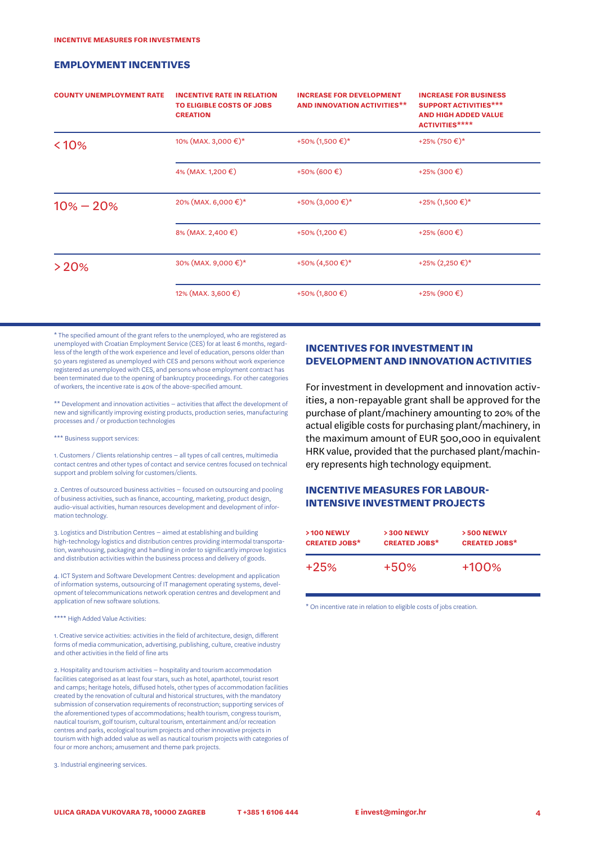#### EMPLOYMENT INCENTIVES

| <b>COUNTY UNEMPLOYMENT RATE</b> | <b>INCENTIVE RATE IN RELATION</b><br>TO ELIGIBLE COSTS OF JOBS<br><b>CREATION</b> | <b>INCREASE FOR DEVELOPMENT</b><br><b>AND INNOVATION ACTIVITIES**</b> | <b>INCREASE FOR BUSINESS</b><br><b>SUPPORT ACTIVITIES***</b><br><b>AND HIGH ADDED VALUE</b><br><b>ACTIVITIES****</b> |
|---------------------------------|-----------------------------------------------------------------------------------|-----------------------------------------------------------------------|----------------------------------------------------------------------------------------------------------------------|
| $< 10\%$                        | 10% (MAX. 3,000 €)*                                                               | +50% $(1,500 \text{€})$ *                                             | +25% (750 €)*                                                                                                        |
|                                 | 4% (MAX, 1,200 €)                                                                 | +50% (600 €)                                                          | +25% (300 €)                                                                                                         |
| $10\% - 20\%$                   | 20% (MAX. 6,000 €)*                                                               | +50% $(3,000 \text{€})$ *                                             | +25% $(1,500 \text{€})$ *                                                                                            |
|                                 | 8% (MAX. 2,400 €)                                                                 | +50% (1,200 €)                                                        | +25% (600 €)                                                                                                         |
| >20%                            | 30% (MAX. 9,000 €)*                                                               | +50% $(4,500 \text{€})$ *                                             | +25% $(2,250 \text{€})$ *                                                                                            |
|                                 | 12% (MAX. 3,600 €)                                                                | +50% (1,800 €)                                                        | +25% (900 €)                                                                                                         |

\* The specified amount of the grant refers to the unemployed, who are registered as unemployed with Croatian Employment Service (CES) for at least 6 months, regardless of the length of the work experience and level of education, persons older than 50 years registered as unemployed with CES and persons without work experience registered as unemployed with CES, and persons whose employment contract has been terminated due to the opening of bankruptcy proceedings. For other categories of workers, the incentive rate is 40% of the above-specified amount.

\*\* Development and innovation activities – activities that affect the development of new and significantly improving existing products, production series, manufacturing processes and / or production technologies

#### \*\*\* Business support services:

1. Customers / Clients relationship centres – all types of call centres, multimedia contact centres and other types of contact and service centres focused on technical support and problem solving for customers/clients.

2. Centres of outsourced business activities – focused on outsourcing and pooling of business activities, such as finance, accounting, marketing, product design, audio-visual activities, human resources development and development of information technology.

3. Logistics and Distribution Centres – aimed at establishing and building high-technology logistics and distribution centres providing intermodal transportation, warehousing, packaging and handling in order to significantly improve logistics and distribution activities within the business process and delivery of goods.

4. ICT System and Software Development Centres: development and application of information systems, outsourcing of IT management operating systems, development of telecommunications network operation centres and development and application of new software solutions.

\*\*\*\* High Added Value Activities:

1. Creative service activities: activities in the field of architecture, design, different forms of media communication, advertising, publishing, culture, creative industry and other activities in the field of fine arts

2. Hospitality and tourism activities – hospitality and tourism accommodation facilities categorised as at least four stars, such as hotel, aparthotel, tourist resort and camps; heritage hotels, diffused hotels, other types of accommodation facilities created by the renovation of cultural and historical structures, with the mandatory submission of conservation requirements of reconstruction; supporting services of the aforementioned types of accommodations; health tourism, congress tourism, nautical tourism, golf tourism, cultural tourism, entertainment and/or recreation centres and parks, ecological tourism projects and other innovative projects in tourism with high added value as well as nautical tourism projects with categories of four or more anchors; amusement and theme park projects.

3. Industrial engineering services.

## INCENTIVES FOR INVESTMENT IN DEVELOPMENT AND INNOVATION ACTIVITIES

For investment in development and innovation activities, a non-repayable grant shall be approved for the purchase of plant/machinery amounting to 20% of the actual eligible costs for purchasing plant/machinery, in the maximum amount of EUR 500,000 in equivalent HRK value, provided that the purchased plant/machinery represents high technology equipment.

## INCENTIVE MEASURES FOR LABOUR-INTENSIVE INVESTMENT PROJECTS

| >100 NEWLY           | >300 NEWLY           | >500 NEWLY           |
|----------------------|----------------------|----------------------|
| <b>CREATED JOBS*</b> | <b>CREATED JOBS*</b> | <b>CREATED JOBS*</b> |
| $+25%$               | $+50%$               | $+100%$              |

\* On incentive rate in relation to eligible costs of jobs creation.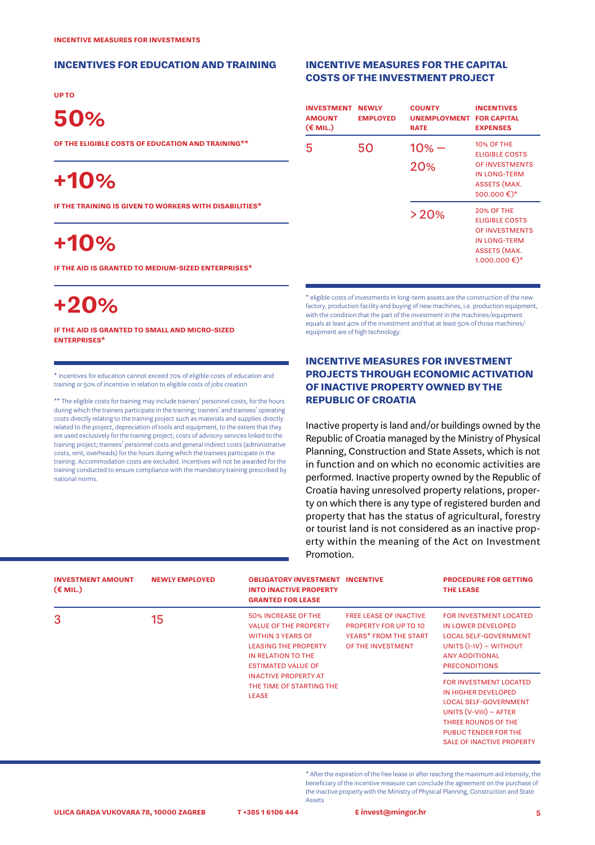#### INCENTIVES FOR EDUCATION AND TRAINING

up to

# 50%

of the eligible costs of education and training\*\*

# +10%

if the training is given to workers with disabilities\*

# +10%

if the aid is granted to medium-sized enterprises\*

# +20%

if the aid is granted to small and micro-sized enterprises\*

\* incentives for education cannot exceed 70% of eligible costs of education and training or 50% of incentive in relation to eligible costs of jobs creation

\*\* The eligible costs for training may include trainers' personnel costs, for the hours during which the trainers participate in the training; trainers' and trainees' operating costs directly relating to the training project such as materials and supplies directly related to the project, depreciation of tools and equipment, to the extent that they are used exclusively for the training project; costs of advisory services linked to the training project; trainees' personnel costs and general indirect costs (administrative costs, rent, overheads) for the hours during which the trainees participate in the training. Accommodation costs are excluded. Incentives will not be awarded for the training conducted to ensure compliance with the mandatory training prescribed by national norms.

### INCENTIVE MEASURES FOR THE CAPITAL COSTS OF THE INVESTMENT PROJECT

| <b>INVESTMENT</b><br><b>AMOUNT</b><br>$(\epsilon$ MIL.) | <b>NEWLY</b><br><b>EMPLOYED</b> | <b>COUNTY</b><br><b>UNEMPLOYMENT</b><br><b>RATE</b> | <b>INCENTIVES</b><br><b>FOR CAPITAL</b><br><b>EXPENSES</b>                                                                                 |
|---------------------------------------------------------|---------------------------------|-----------------------------------------------------|--------------------------------------------------------------------------------------------------------------------------------------------|
| 5                                                       | 50                              | $10% -$<br>20%                                      | <b>10% OF THE</b><br><b>ELIGIBLE COSTS</b><br>OF INVESTMENTS<br><b>IN LONG-TERM</b><br><b>ASSETS (MAX.</b><br>500.000€)*                   |
|                                                         |                                 | >20%                                                | <b>20% OF THE</b><br><b>ELIGIBLE COSTS</b><br>OF INVESTMENTS<br><b>IN LONG-TERM</b><br><b>ASSETS (MAX.</b><br>$1.000.000 \in$ <sup>*</sup> |

\* eligible costs of investments in long-term assets are the construction of the new factory, production facility and buying of new machines, i.e. production equipment, with the condition that the part of the investment in the machines/equipment equals at least 40% of the investment and that at least 50% of those machines/ equipment are of high technology.

### INCENTIVE MEASURES FOR INVESTMENT PROJECTS THROUGH ECONOMIC ACTIVATION OF INACTIVE PROPERTY OWNED BY THE REPUBLIC OF CROATIA

Inactive property is land and/or buildings owned by the Republic of Croatia managed by the Ministry of Physical Planning, Construction and State Assets, which is not in function and on which no economic activities are performed. Inactive property owned by the Republic of Croatia having unresolved property relations, property on which there is any type of registered burden and property that has the status of agricultural, forestry or tourist land is not considered as an inactive property within the meaning of the Act on Investment Promotion.

| <b>INVESTMENT AMOUNT</b><br>$(E$ MIL.) | <b>NEWLY EMPLOYED</b> | <b>OBLIGATORY INVESTMENT INCENTIVE</b><br><b>INTO INACTIVE PROPERTY</b><br><b>GRANTED FOR LEASE</b>                                                                                                     |                                                                                                      | <b>PROCEDURE FOR GETTING</b><br><b>THE LEASE</b>                                                                                                                                                     |
|----------------------------------------|-----------------------|---------------------------------------------------------------------------------------------------------------------------------------------------------------------------------------------------------|------------------------------------------------------------------------------------------------------|------------------------------------------------------------------------------------------------------------------------------------------------------------------------------------------------------|
| 3                                      | 15                    | <b>50% INCREASE OF THE</b><br><b>VALUE OF THE PROPERTY</b><br><b>WITHIN 3 YEARS OF</b><br><b>LEASING THE PROPERTY</b><br>IN RELATION TO THE<br><b>ESTIMATED VALUE OF</b><br><b>INACTIVE PROPERTY AT</b> | <b>FREE LEASE OF INACTIVE</b><br>PROPERTY FOR UP TO 10<br>YEARS* FROM THE START<br>OF THE INVESTMENT | <b>FOR INVESTMENT LOCATED</b><br>IN LOWER DEVELOPED<br><b>LOCAL SELF-GOVERNMENT</b><br>UNITS $(I-IV)$ - WITHOUT<br><b>ANY ADDITIONAL</b><br><b>PRECONDITIONS</b>                                     |
|                                        |                       | THE TIME OF STARTING THE<br><b>LEASE</b>                                                                                                                                                                |                                                                                                      | FOR INVESTMENT LOCATED<br>IN HIGHER DEVELOPED<br><b>LOCAL SELF-GOVERNMENT</b><br>UNITS $(V-VIII)$ - AFTER<br>THREE ROUNDS OF THE<br><b>PUBLIC TENDER FOR THE</b><br><b>SALE OF INACTIVE PROPERTY</b> |

\* After the expiration of the free lease or after reaching the maximum aid intensity, the beneficiary of the incentive measure can conclude the agreement on the purchase of the inactive property with the Ministry of Physical Planning, Construction and State **A**ssets